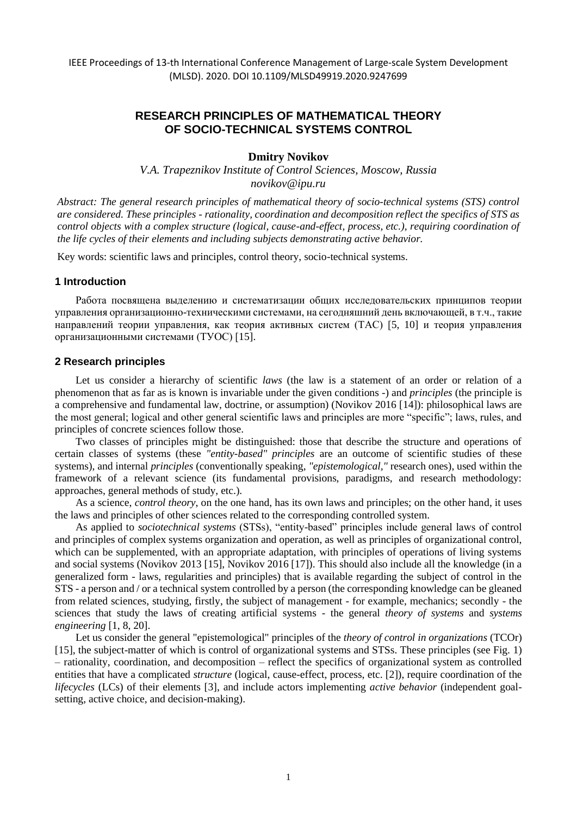# **RESEARCH PRINCIPLES OF MATHEMATICAL THEORY OF SOCIO-TECHNICAL SYSTEMS CONTROL**

### **Dmitry Novikov**

*V.A. Trapeznikov Institute of Control Sciences, Moscow, Russia novikov@ipu.ru*

*Abstract: The general research principles of mathematical theory of socio-technical systems (STS) control are considered. These principles - rationality, coordination and decomposition reflect the specifics of STS as control objects with a complex structure (logical, cause-and-effect, process, etc.), requiring coordination of the life cycles of their elements and including subjects demonstrating active behavior.*

Key words: scientific laws and principles, control theory, socio-technical systems.

#### **1 Introduction**

Работа посвящена выделению и систематизации общих исследовательских принципов теории управления организационно-техническими системами, на сегодняшний день включающей, в т.ч., такие направлений теории управления, как теория активных систем (ТАС) [\[5,](#page-3-0) [10\]](#page-3-1) и теория управления организационными системами (ТУОС) [\[15\]](#page-3-2).

#### **2 Research principles**

Let us consider a hierarchy of scientific *laws* (the law is a statement of an order or relation of a phenomenon that as far as is known is invariable under the given conditions -) and *principles* (the principle is a comprehensive and fundamental law, doctrine, or assumption) (Novikov 2016 [\[14\]](#page-3-3)): philosophical laws are the most general; logical and other general scientific laws and principles are more "specific"; laws, rules, and principles of concrete sciences follow those.

Two classes of principles might be distinguished: those that describe the structure and operations of certain classes of systems (these *"entity-based" principles* are an outcome of scientific studies of these systems), and internal *principles* (conventionally speaking, *"epistemological,"* research ones), used within the framework of a relevant science (its fundamental provisions, paradigms, and research methodology: approaches, general methods of study, etc.).

As a science, *control theory*, on the one hand, has its own laws and principles; on the other hand, it uses the laws and principles of other sciences related to the corresponding controlled system.

As applied to *sociotechnical systems* (STSs), "entity-based" principles include general laws of control and principles of complex systems organization and operation, as well as principles of organizational control, which can be supplemented, with an appropriate adaptation, with principles of operations of living systems and social systems (Novikov 2013 [\[15\]](#page-3-2), Novikov 2016 [\[17\]](#page-3-4)). This should also include all the knowledge (in a generalized form - laws, regularities and principles) that is available regarding the subject of control in the STS - a person and / or a technical system controlled by a person (the corresponding knowledge can be gleaned from related sciences, studying, firstly, the subject of management - for example, mechanics; secondly - the sciences that study the laws of creating artificial systems - the general *theory of systems* and *systems engineering* [\[1,](#page-3-5) [8,](#page-3-6) [20\]](#page-3-7).

Let us consider the general "epistemological" principles of the *theory of control in organizations* (TCOr) [\[15\]](#page-3-2), the subject-matter of which is control of organizational systems and STSs. These principles (see Fig. 1) – rationality, coordination, and decomposition – reflect the specifics of organizational system as controlled entities that have a complicated *structure* (logical, cause-effect, process, etc. [\[2\]](#page-3-8)), require coordination of the *lifecycles* (LCs) of their elements [\[3\]](#page-3-9), and include actors implementing *active behavior* (independent goalsetting, active choice, and decision-making).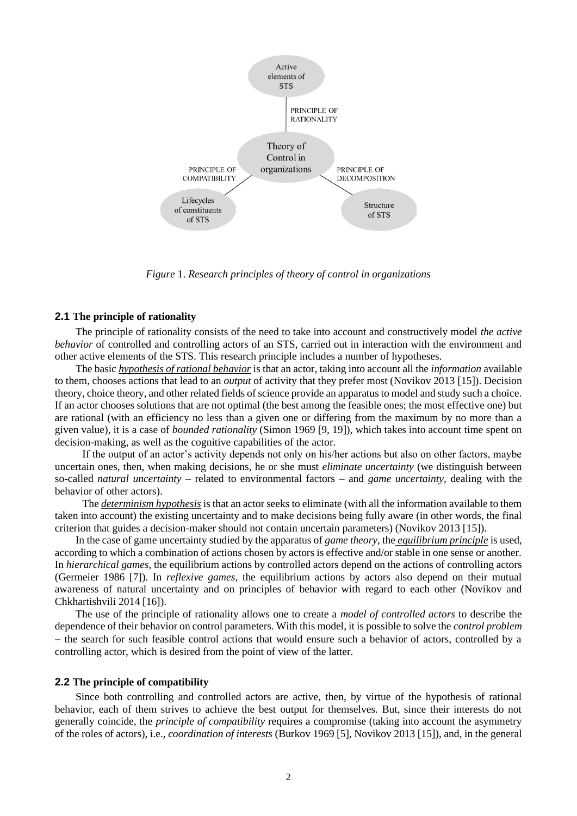

*Figure* 1. *Research principles of theory of control in organizations*

### **2.1 The principle of rationality**

The principle of rationality consists of the need to take into account and constructively model *the active behavior* of controlled and controlling actors of an STS, carried out in interaction with the environment and other active elements of the STS. This research principle includes a number of hypotheses.

The basic *hypothesis of rational behavior* is that an actor, taking into account all the *information* available to them, chooses actions that lead to an *output* of activity that they prefer most (Novikov 2013 [\[15\]](#page-3-2)). Decision theory, choice theory, and other related fields of science provide an apparatus to model and study such a choice. If an actor chooses solutions that are not optimal (the best among the feasible ones; the most effective one) but are rational (with an efficiency no less than a given one or differing from the maximum by no more than a given value), it is a case of *bounded rationality* (Simon 1969 [\[9,](#page-3-10) [19\]](#page-3-11)), which takes into account time spent on decision-making, as well as the cognitive capabilities of the actor.

If the output of an actor's activity depends not only on his/her actions but also on other factors, maybe uncertain ones, then, when making decisions, he or she must *eliminate uncertainty* (we distinguish between so-called *natural uncertainty* – related to environmental factors – and *game uncertainty*, dealing with the behavior of other actors).

The *determinism hypothesis* is that an actor seeks to eliminate (with all the information available to them taken into account) the existing uncertainty and to make decisions being fully aware (in other words, the final criterion that guides a decision-maker should not contain uncertain parameters) (Novikov 2013 [\[15\]](#page-3-2)).

In the case of game uncertainty studied by the apparatus of *game theory*, the *equilibrium principle* is used, according to which a combination of actions chosen by actors is effective and/or stable in one sense or another. In *hierarchical games*, the equilibrium actions by controlled actors depend on the actions of controlling actors (Germeier 1986 [\[7\]](#page-3-12)). In *reflexive games*, the equilibrium actions by actors also depend on their mutual awareness of natural uncertainty and on principles of behavior with regard to each other (Novikov and Chkhartishvili 2014 [\[16\]](#page-3-13)).

The use of the principle of rationality allows one to create a *model of controlled actors* to describe the dependence of their behavior on control parameters. With this model, it is possible to solve the *control problem* − the search for such feasible control actions that would ensure such a behavior of actors, controlled by a controlling actor, which is desired from the point of view of the latter.

#### **2.2 The principle of compatibility**

Since both controlling and controlled actors are active, then, by virtue of the hypothesis of rational behavior, each of them strives to achieve the best output for themselves. But, since their interests do not generally coincide, the *principle of compatibility* requires a compromise (taking into account the asymmetry of the roles of actors), i.e., *coordination of interests* (Burkov 1969 [\[5\]](#page-3-0), Novikov 2013 [\[15\]](#page-3-2)), and, in the general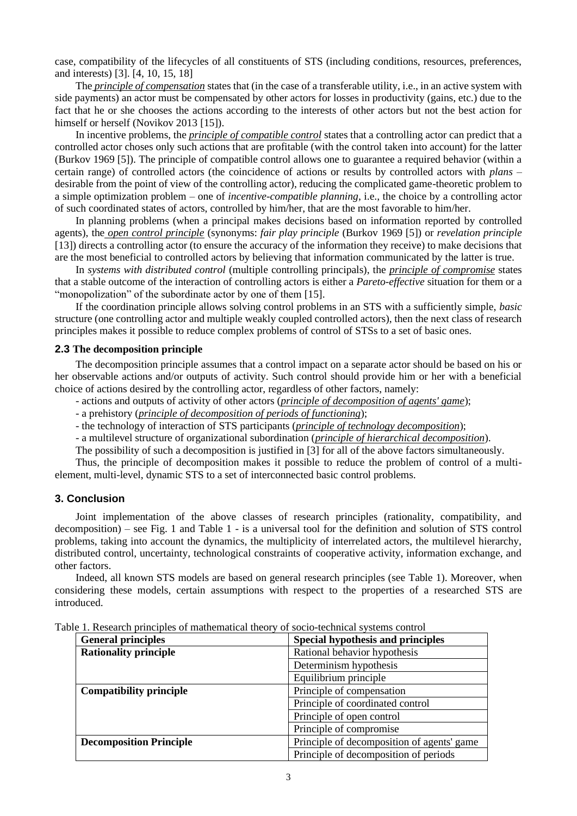case, compatibility of the lifecycles of all constituents of STS (including conditions, resources, preferences, and interests) [\[3\]](#page-3-9). [\[4,](#page-3-14) [10,](#page-3-1) [15,](#page-3-2) [18\]](#page-3-15)

The *principle of compensation* states that (in the case of a transferable utility, i.e., in an active system with side payments) an actor must be compensated by other actors for losses in productivity (gains, etc.) due to the fact that he or she chooses the actions according to the interests of other actors but not the best action for himself or herself (Novikov 2013 [\[15\]](#page-3-2)).

In incentive problems, the *principle of compatible control* states that a controlling actor can predict that a controlled actor choses only such actions that are profitable (with the control taken into account) for the latter (Burkov 1969 [\[5\]](#page-3-0)). The principle of compatible control allows one to guarantee a required behavior (within a certain range) of controlled actors (the coincidence of actions or results by controlled actors with *plans* – desirable from the point of view of the controlling actor), reducing the complicated game-theoretic problem to a simple optimization problem – one of *incentive*-*compatible planning*, i.e., the choice by a controlling actor of such coordinated states of actors, controlled by him/her, that are the most favorable to him/her.

In planning problems (when a principal makes decisions based on information reported by controlled agents), the *open control principle* (synonyms: *fair play principle* (Burkov 1969 [\[5\]](#page-3-0)) or *revelation principle* [\[13\]](#page-3-16)) directs a controlling actor (to ensure the accuracy of the information they receive) to make decisions that are the most beneficial to controlled actors by believing that information communicated by the latter is true.

In *systems with distributed control* (multiple controlling principals), the *principle of compromise* states that a stable outcome of the interaction of controlling actors is either a *Pareto-effective* situation for them or a "monopolization" of the subordinate actor by one of them [\[15\]](#page-3-2).

If the coordination principle allows solving control problems in an STS with a sufficiently simple, *basic* structure (one controlling actor and multiple weakly coupled controlled actors), then the next class of research principles makes it possible to reduce complex problems of control of STSs to a set of basic ones.

### **2.3 The decomposition principle**

The decomposition principle assumes that a control impact on a separate actor should be based on his or her observable actions and/or outputs of activity. Such control should provide him or her with a beneficial choice of actions desired by the controlling actor, regardless of other factors, namely:

- actions and outputs of activity of other actors (*principle of decomposition of agents' game*);
- a prehistory (*principle of decomposition of periods of functioning*);
- the technology of interaction of STS participants (*principle of technology decomposition*);

- a multilevel structure of organizational subordination (*principle of hierarchical decomposition*).

The possibility of such a decomposition is justified in [\[3\]](#page-3-9) for all of the above factors simultaneously.

Thus, the principle of decomposition makes it possible to reduce the problem of control of a multielement, multi-level, dynamic STS to a set of interconnected basic control problems.

### **3. Conclusion**

Joint implementation of the above classes of research principles (rationality, compatibility, and decomposition) – see Fig. 1 and Table 1 - is a universal tool for the definition and solution of STS control problems, taking into account the dynamics, the multiplicity of interrelated actors, the multilevel hierarchy, distributed control, uncertainty, technological constraints of cooperative activity, information exchange, and other factors.

Indeed, all known STS models are based on general research principles (see Table 1). Moreover, when considering these models, certain assumptions with respect to the properties of a researched STS are introduced.

| <b>General principles</b>      | Special hypothesis and principles          |
|--------------------------------|--------------------------------------------|
| <b>Rationality principle</b>   | Rational behavior hypothesis               |
|                                | Determinism hypothesis                     |
|                                | Equilibrium principle                      |
| <b>Compatibility principle</b> | Principle of compensation                  |
|                                | Principle of coordinated control           |
|                                | Principle of open control                  |
|                                | Principle of compromise                    |
| <b>Decomposition Principle</b> | Principle of decomposition of agents' game |
|                                | Principle of decomposition of periods      |

Table 1. Research principles of mathematical theory of socio-technical systems control